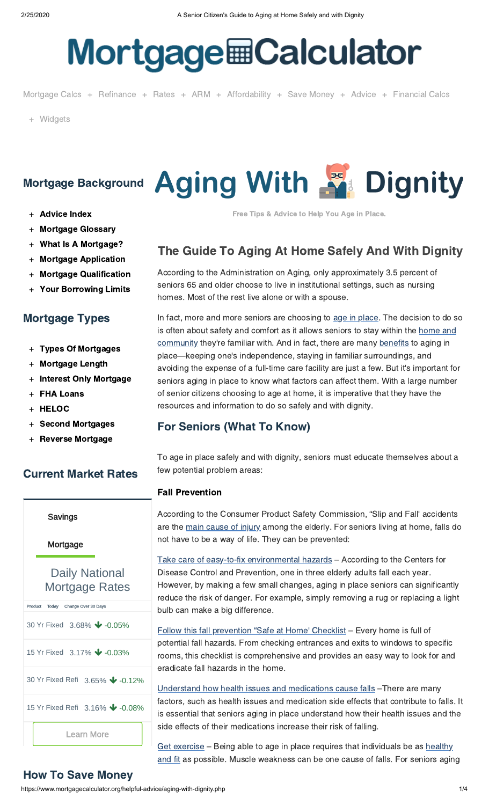# **Mortgage Calculator**

[Mortgage Calcs](https://www.mortgagecalculator.org/) + [Refinance](https://www.mortgagecalculator.org/calculators/should-i-refinance.php) + [Rates](https://www.mortgagecalculator.org/mortgage-rates/) + [ARM](https://www.mortgagecalculator.org/calcs/arm.php) + [Affordability](https://www.mortgagecalculator.org/calculators/affordability-calculator.php) + [Save Money](https://www.mortgagecalculator.org/calcs/savings.php) + [Advice](https://www.mortgagecalculator.org/helpful-advice/index.php) + [Financial Calcs](https://www.mortgagecalculator.org/calculators/index.php)

+ [Widgets](https://www.mortgagecalculator.org/free-tools/)

- + [Advice Index](https://www.mortgagecalculator.org/helpful-advice/index.php)
- + [Mortgage Glossary](https://www.mortgagecalculator.org/helpful-advice/glossary.php)
- + [What Is A Mortgage?](https://www.mortgagecalculator.org/helpful-advice/what-is-a-mortgage.php)
- + [Mortgage Application](https://www.mortgagecalculator.org/helpful-advice/ups-and-downs-with-mortgages.php)
- + [Mortgage Qualification](https://www.mortgagecalculator.org/helpful-advice/mortgage-qualifications.php)
- **[Your Borrowing Limits](https://www.mortgagecalculator.org/helpful-advice/how-much-can-i-borrow.php)**

# Mortgage Types

- + [Types Of Mortgages](https://www.mortgagecalculator.org/helpful-advice/types-of-mortgages.php)
- + [Mortgage Length](https://www.mortgagecalculator.org/helpful-advice/how-many-years-mortgage-loan.php)
- + [Interest Only Mortgage](https://www.mortgagecalculator.org/helpful-advice/interest-only-mortgages.php)
- + [FHA Loans](https://www.mortgagecalculator.org/helpful-advice/fha-loan-programs.php)
- **[HELOC](https://www.mortgagecalculator.org/helpful-advice/heloc.php)**
- + [Second Mortgages](https://www.mortgagecalculator.org/helpful-advice/second-mortgage.php)
- **[Reverse Mortgage](https://www.mortgagecalculator.org/helpful-advice/reverse-mortgage.php)**

# Current Market Rates

# Daily National Mortgage Rates [Learn More](https://www.myfinance.com/reporting/redir/unknown?redir=https%3A%2F%2Fwww.myfinance.com%2Fw%2F88937122-6dbe-4898-9515-a7fe5af583d7%3Fmf_tab%3Dmortgage%26mf_prod_type%3Dpurchase%26mf_prod_term%3D30yr_fixed&oa_product=30-yr-fixed&origin_click=&widget_id=fbd88973-f618-44d1-aa02-8d638f915b47&time_span=30&graph=False&placement=e5d0f59b04&vertical=mortgage&oa=true&direct_link=true) Savings Mortgage Product Today Change Over 30 Days [30 Yr Fixed](https://www.myfinance.com/reporting/redir/unknown?redir=https%3A%2F%2Fwww.myfinance.com%2Fw%2F88937122-6dbe-4898-9515-a7fe5af583d7%3Fmf_tab%3Dmortgage%26mf_prod_type%3Dpurchase%26mf_prod_term%3D30yr_fixed&oa_product=30-yr-fixed&origin_click=&widget_id=fbd88973-f618-44d1-aa02-8d638f915b47&time_span=30&graph=False&placement=e5d0f59b04&vertical=mortgage&oa=true&direct_link=true) 3.68% **↓** -0.05% [15 Yr Fixed](https://www.myfinance.com/reporting/redir/unknown?redir=https%3A%2F%2Fwww.myfinance.com%2Fw%2F88937122-6dbe-4898-9515-a7fe5af583d7%3Fmf_tab%3Dmortgage%26mf_prod_type%3Dpurchase%26mf_prod_term%3D15yr_fixed&oa_product=15-yr-fixed&origin_click=&widget_id=fbd88973-f618-44d1-aa02-8d638f915b47&time_span=30&graph=False&placement=e5d0f59b04&vertical=mortgage&oa=true&direct_link=true) 3.17% ↓ -0.03% [30 Yr Fixed Refi](https://www.myfinance.com/reporting/redir/unknown?redir=https%3A%2F%2Fwww.myfinance.com%2Fw%2F88937122-6dbe-4898-9515-a7fe5af583d7%3Fmf_tab%3Dmortgage%26mf_prod_type%3Drefi%26mf_prod_term%3D30yr_fixed&oa_product=30-yr-fixed-refi&origin_click=&widget_id=fbd88973-f618-44d1-aa02-8d638f915b47&time_span=30&graph=False&placement=e5d0f59b04&vertical=mortgage&oa=true&direct_link=true) 3.65% ↓ -0.12% [15 Yr Fixed Refi](https://www.myfinance.com/reporting/redir/unknown?redir=https%3A%2F%2Fwww.myfinance.com%2Fw%2F88937122-6dbe-4898-9515-a7fe5af583d7%3Fmf_tab%3Dmortgage%26mf_prod_type%3Drefi%26mf_prod_term%3D15yr_fixed&oa_product=15-yr-fixed-refi&origin_click=&widget_id=fbd88973-f618-44d1-aa02-8d638f915b47&time_span=30&graph=False&placement=e5d0f59b04&vertical=mortgage&oa=true&direct_link=true) 3.16% ↓ -0.08%

# Mortgage Background Aging With **Age Dignity**

Free Tips & Advice to Help You Age in Place.

# The Guide To Aging At Home Safely And With Dignity

According to the Administration on Aging, only approximately 3.5 percent of seniors 65 and older choose to live in institutional settings, such as nursing homes. Most of the rest live alone or with a spouse.

In fact, more and more seniors are choosing to [age in place.](https://www.mortgagecalculator.org/helpful-advice/long-term-care.php) The decision to do so is often about safety and comfort as it allows seniors to stay within the home and [community they're familiar with. And in fact, there are many benefits to aging in](http://homeinsteadsonoma.com/2010/01/aging-in-place-advantages-and-disadvantages-of-seniors-continuing-to-live-in-their-own-homes/) place—keeping one's independence, staying in familiar surroundings, and avoiding the expense of a full-time care facility are just a few. But it's important for seniors aging in place to know what factors can affect them. With a large number of senior citizens choosing to age at home, it is imperative that they have the resources and information to do so safely and with dignity.

# For Seniors (What To Know)

To age in place safely and with dignity, seniors must educate themselves about a few potential problem areas:

# Fall Prevention

According to the Consumer Product Safety Commission, "Slip and Fall' accidents are the [main cause of injury](http://ageinplace.com/elderly-health/elderly-slip-fall-accidents/) among the elderly. For seniors living at home, falls do not have to be a way of life. They can be prevented:

[Take care of easy-to-fix environmental hazards](http://ageinplace.com/elderly-health/elderly-slip-fall-accidents/) – According to the Centers for Disease Control and Prevention, one in three elderly adults fall each year. However, by making a few small changes, aging in place seniors can significantly reduce the risk of danger. For example, simply removing a rug or replacing a light bulb can make a big difference.

[Follow this fall prevention "Safe at Home' Checklist](http://rebuildingtogether.org/wp-content/uploads/2012/06/RT-Aging-in-Place-Safe-at-Home-Checklist.pdf) – Every home is full of potential fall hazards. From checking entrances and exits to windows to specific rooms, this checklist is comprehensive and provides an easy way to look for and eradicate fall hazards in the home.

[Understand how health issues and medications cause falls](https://www.nia.nih.gov/health/prevent-falls-and-fractures) –There are many factors, such as health issues and medication side effects that contribute to falls. It is essential that seniors aging in place understand how their health issues and the side effects of their medications increase their risk of falling.

[Get exercise](https://www.youtube.com/watch?v=z6JoaJgofT8) - Being able to age in place requires that individuals be as healthy [and fit as possible. Muscle weakness can be one cause of falls. For seniors agin](http://nihseniorhealth.gov/exerciseforolderadults/healthbenefits/01.html)g

# How To Save Money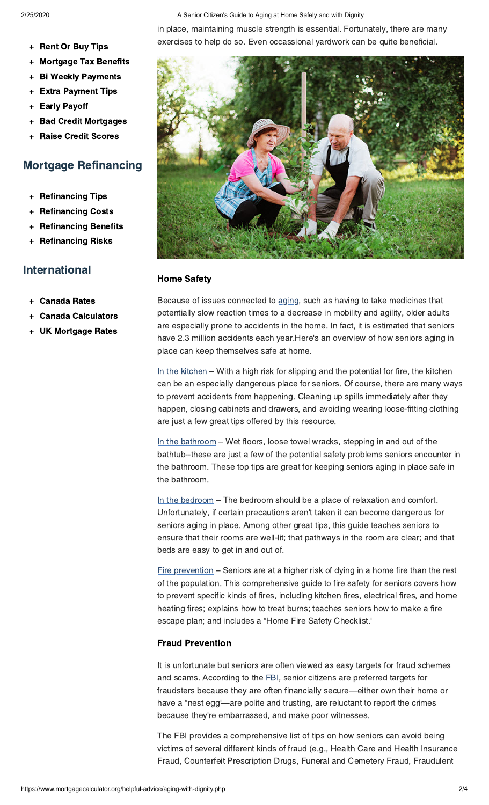### 2/25/2020 A Senior Citizen's Guide to Aging at Home Safely and with Dignity

- + [Rent Or Buy Tips](https://www.mortgagecalculator.org/helpful-advice/rent-or-buy.php)
- + [Mortgage Tax Benefits](https://www.mortgagecalculator.org/helpful-advice/home-ownership-tax-benefits.php)
- **[Bi Weekly Payments](https://www.mortgagecalculator.org/helpful-advice/bi-weekly-payments.php)**
- + [Extra Payment Tips](https://www.mortgagecalculator.org/helpful-advice/save-by-paying-more.php)
- + [Early Payoff](https://www.mortgagecalculator.org/helpful-advice/early-payoff-savings.php)
- **[Bad Credit Mortgages](https://www.mortgagecalculator.org/helpful-advice/bad-credit-mortgage-loans.php)**
- **[Raise Credit Scores](https://www.mortgagecalculator.org/helpful-advice/ways-to-improve-credit-score.php)**

# Mortgage Refinancing

- + [Refinancing Tips](https://www.mortgagecalculator.org/helpful-advice/what-is-a-refinancing.php)
- **[Refinancing Costs](https://www.mortgagecalculator.org/helpful-advice/costs-of-refinancing.php)**
- **[Refinancing Benefits](https://www.mortgagecalculator.org/helpful-advice/top-reasons-to-refinance.php)**
- **[Refinancing Risks](https://www.mortgagecalculator.org/helpful-advice/what-to-avoid-when-refinancing.php)**

# International

- **[Canada Rates](https://www.mortgagecalculator.org/helpful-advice/canada-mortgage-rates.php)**
- **[Canada Calculators](https://www.mortgagecalculator.org/helpful-advice/canadian-mortgage-calculator.php)**
- **[UK Mortgage Rates](https://www.mortgagecalculator.org/helpful-advice/uk-mortgage-rates.php)**

in place, maintaining muscle strength is essential. Fortunately, there are many exercises to help do so. Even occassional yardwork can be quite beneficial.



## Home Safety

Because of issues connected to [aging](http://www.healthinaging.org/resources/resource:home-safety-tips-for-older-adults/), such as having to take medicines that potentially slow reaction times to a decrease in mobility and agility, older adults are especially prone to accidents in the home. In fact, it is estimated that seniors have 2.3 million accidents each year.Here's an overview of how seniors aging in place can keep themselves safe at home.

[In the kitchen](http://www.volusiasheriff.org/news/tips-to-make-your-kitchen-senior-safe.stml) – With a high risk for slipping and the potential for fire, the kitchen can be an especially dangerous place for seniors. Of course, there are many ways to prevent accidents from happening. Cleaning up spills immediately after they happen, closing cabinets and drawers, and avoiding wearing loose-fitting clothing are just a few great tips offered by this resource.

[In the bathroom](http://www.modularhomepartsandaccessories.com/bathroomsafetytips.php) – Wet floors, loose towel wracks, stepping in and out of the bathtub--these are just a few of the potential safety problems seniors encounter in the bathroom. These top tips are great for keeping seniors aging in place safe in the bathroom.

[In the bedroom](http://www.easyrest.com/12-bedroom-safety-tips-for-seniors/) - The bedroom should be a place of relaxation and comfort. Unfortunately, if certain precautions aren't taken it can become dangerous for seniors aging in place. Among other great tips, this guide teaches seniors to ensure that their rooms are well-lit; that pathways in the room are clear; and that beds are easy to get in and out of.

[Fire prevention](http://www.nyc.gov/html/fdny/pdf/safety/fire_safety_education/2010_02/09_fire_safety_for_seniors_english.pdf) – Seniors are at a higher risk of dying in a home fire than the rest of the population. This comprehensive guide to fire safety for seniors covers how to prevent specific kinds of fires, including kitchen fires, electrical fires, and home heating fires; explains how to treat burns; teaches seniors how to make a fire escape plan; and includes a "Home Fire Safety Checklist.'

# Fraud Prevention

It is unfortunate but seniors are often viewed as easy targets for fraud schemes and scams. According to the **[FBI](http://www.fbi.gov/scams-safety/fraud/seniors)**, senior citizens are preferred targets for fraudsters because they are often financially secure—either own their home or have a "nest egg'—are polite and trusting, are reluctant to report the crimes because they're embarrassed, and make poor witnesses.

The FBI provides a comprehensive list of tips on how seniors can avoid being victims of several different kinds of fraud (e.g., Health Care and Health Insurance Fraud, Counterfeit Prescription Drugs, Funeral and Cemetery Fraud, Fraudulent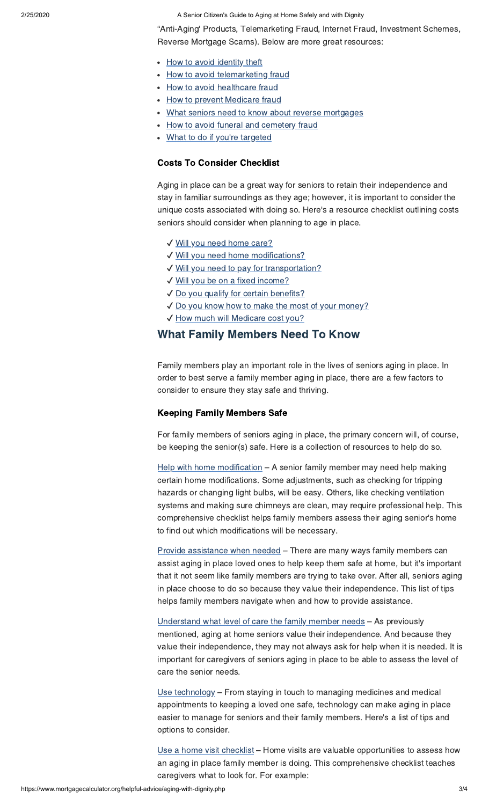2/25/2020 A Senior Citizen's Guide to Aging at Home Safely and with Dignity

"Anti-Aging' Products, Telemarketing Fraud, Internet Fraud, Investment Schemes, Reverse Mortgage Scams). Below are more great resources:

- [How to avoid identity theft](http://www.idtheftcenter.org/Protect-yourself/id-theft-prevention-tips.html)
- [How to avoid telemarketing fraud](https://www.mortgagecalculator.org/resources/senfraud_rev4.pdf)
- [How to avoid healthcare fraud](http://www.aarp.org/health/medicare-insurance/fight_health_care_fraud_factsheets/)
- [How to prevent Medicare fraud](https://www.medicare.gov/forms-help-resources/help-fight-medicare-fraud)
- [What seniors need to know about reverse mortgages](http://www.nytimes.com/2012/10/15/business/reverse-mortgages-costing-some-seniors-their-homes.html)
- [How to avoid funeral and cemetery fraud](http://fightfraud.nv.gov/Seniors-FuneralCemetary_new.htm)
- [What to do if you're targeted](http://fincen.gov/help4victims.html)

# Costs To Consider Checklist

Aging in place can be a great way for seniors to retain their independence and stay in familiar surroundings as they age; however, it is important to consider the unique costs associated with doing so. Here's a resource checklist outlining costs seniors should consider when planning to age in place.

- ✔ [Will you need home care?](http://www.seniorhomes.com/p/home-care-costs/)
- ✔ [Will you need home modifications?](http://www.agingcare.com/Articles/Home-Modification-for-Senior-Friendly-Living-104573.htm)
- ✔ [Will you need to pay for transportation?](http://www.caring.com/articles/how-to-find-low-cost-transportation-services)
- ✔ [Will you be on a fixed income?](http://www.bocahomecareservices.com/blog/budgeting-tips-seniors-fixed-incomes/)
- ✔ [Do you qualify for certain benefits?](https://www.benefitscheckup.org/)
- ✔ [Do you know how to make the most of your money?](https://www.benefitscheckup.org/esi-home/)
- ✔ [How much will Medicare cost you?](http://www.webmd.com/health-insurance/insurance-costs/medicare-costs)

# What Family Members Need To Know

Family members play an important role in the lives of seniors aging in place. In order to best serve a family member aging in place, there are a few factors to consider to ensure they stay safe and thriving.

## Keeping Family Members Safe

For family members of seniors aging in place, the primary concern will, of course, be keeping the senior(s) safe. Here is a collection of resources to help do so.

[Help with home modification](http://www.caregiverslibrary.org/Portals/0/ChecklistsandForms_HomeModificationChecklist.pdf) - A senior family member may need help making certain home modifications. Some adjustments, such as checking for tripping hazards or changing light bulbs, will be easy. Others, like checking ventilation systems and making sure chimneys are clean, may require professional help. This comprehensive checklist helps family members assess their aging senior's home to find out which modifications will be necessary.

[Provide assistance when needed](http://www.agingcare.com/Articles/how-to-help-aging-parents-149102.htm) – There are many ways family members can assist aging in place loved ones to help keep them safe at home, but it's important that it not seem like family members are trying to take over. After all, seniors aging in place choose to do so because they value their independence. This list of tips helps family members navigate when and how to provide assistance.

[Understand what level of care the family member needs](http://www.aarp.org/relationships/caregiving-resource-center/info-08-2010/pc_home_care_worker.html) – As previously mentioned, aging at home seniors value their independence. And because they value their independence, they may not always ask for help when it is needed. It is important for caregivers of seniors aging in place to be able to assess the level of care the senior needs.

[Use technology](https://www.care.com/a/using-technology-to-age-in-place-1303050121) – From staying in touch to managing medicines and medical appointments to keeping a loved one safe, technology can make aging in place easier to manage for seniors and their family members. Here's a list of tips and options to consider.

[Use a home visit checklist](http://www.rightathome.net/northwest-phoenix/blog/caring-for-aging-parents-a-home-visit-checklist/) – Home visits are valuable opportunities to assess how an aging in place family member is doing. This comprehensive checklist teaches caregivers what to look for. For example: